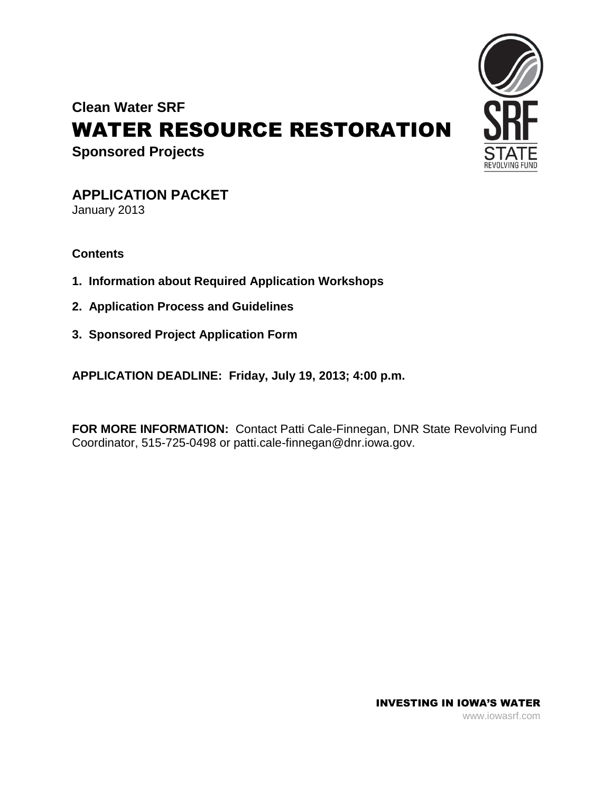# **Clean Water SRF**  WATER RESOURCE RESTORATION **Sponsored Projects**



**APPLICATION PACKET** January 2013

**Contents**

- **1. Information about Required Application Workshops**
- **2. Application Process and Guidelines**
- **3. Sponsored Project Application Form**

**APPLICATION DEADLINE: Friday, July 19, 2013; 4:00 p.m.**

**FOR MORE INFORMATION:** Contact Patti Cale-Finnegan, DNR State Revolving Fund Coordinator, 515-725-0498 or patti.cale-finnegan@dnr.iowa.gov.

> INVESTING IN IOWA'S WATER www.iowasrf.com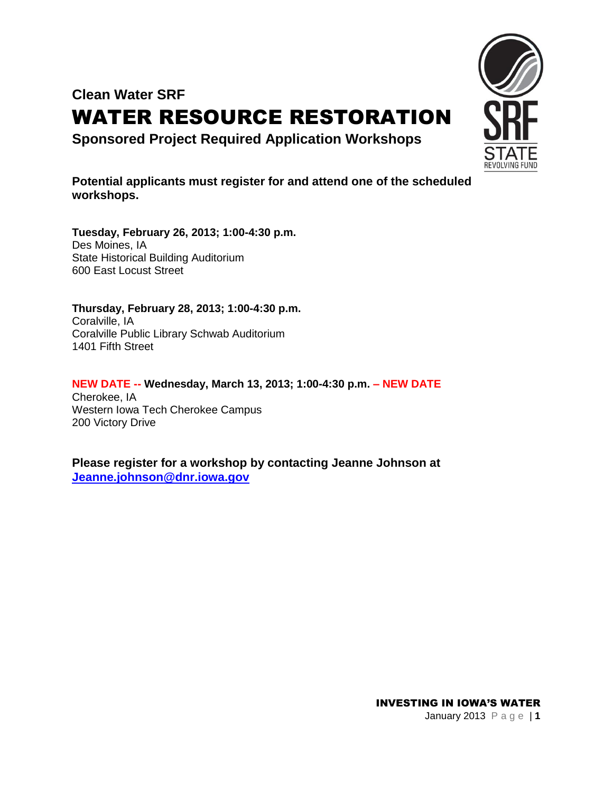# **Clean Water SRF** WATER RESOURCE RESTORATION

**Sponsored Project Required Application Workshops**



**Tuesday, February 26, 2013; 1:00-4:30 p.m.** Des Moines, IA State Historical Building Auditorium 600 East Locust Street

**Thursday, February 28, 2013; 1:00-4:30 p.m.** Coralville, IA Coralville Public Library Schwab Auditorium 1401 Fifth Street

**NEW DATE -- Wednesday, March 13, 2013; 1:00-4:30 p.m. – NEW DATE** Cherokee, IA Western Iowa Tech Cherokee Campus 200 Victory Drive

**Please register for a workshop by contacting Jeanne Johnson at [Jeanne.johnson@dnr.iowa.gov](mailto:Jeanne.johnson@dnr.iowa.gov)**



INVESTING IN IOWA'S WATER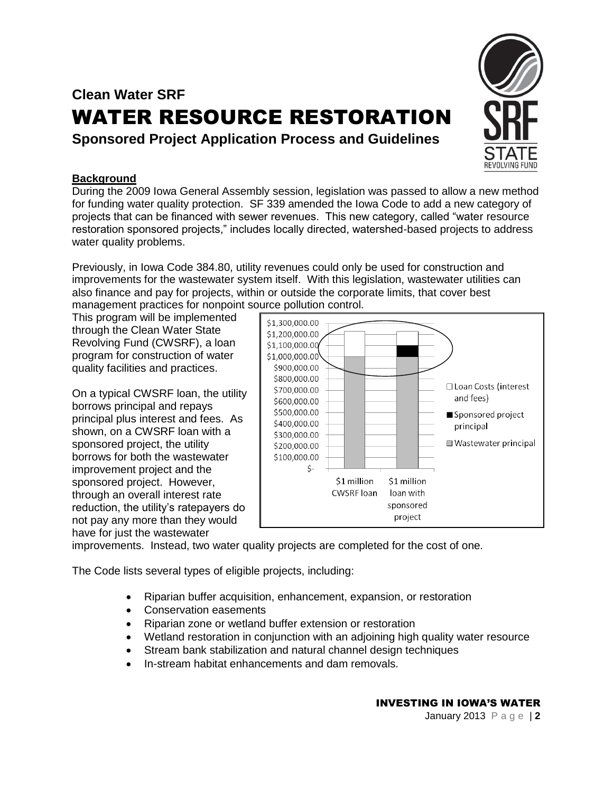# **Clean Water SRF** WATER RESOURCE RESTORATION

**Sponsored Project Application Process and Guidelines**

# **Background**

During the 2009 Iowa General Assembly session, legislation was passed to allow a new method for funding water quality protection. SF 339 amended the Iowa Code to add a new category of projects that can be financed with sewer revenues. This new category, called "water resource restoration sponsored projects," includes locally directed, watershed-based projects to address water quality problems.

Previously, in Iowa Code 384.80, utility revenues could only be used for construction and improvements for the wastewater system itself. With this legislation, wastewater utilities can also finance and pay for projects, within or outside the corporate limits, that cover best management practices for nonpoint source pollution control.

This program will be implemented through the Clean Water State Revolving Fund (CWSRF), a loan program for construction of water quality facilities and practices.

On a typical CWSRF loan, the utility borrows principal and repays principal plus interest and fees. As shown, on a CWSRF loan with a sponsored project, the utility borrows for both the wastewater improvement project and the sponsored project. However, through an overall interest rate reduction, the utility's ratepayers do not pay any more than they would have for just the wastewater



improvements. Instead, two water quality projects are completed for the cost of one.

The Code lists several types of eligible projects, including:

- Riparian buffer acquisition, enhancement, expansion, or restoration
- Conservation easements
- Riparian zone or wetland buffer extension or restoration
- Wetland restoration in conjunction with an adjoining high quality water resource
- Stream bank stabilization and natural channel design techniques
- In-stream habitat enhancements and dam removals.

# INVESTING IN IOWA'S WATER

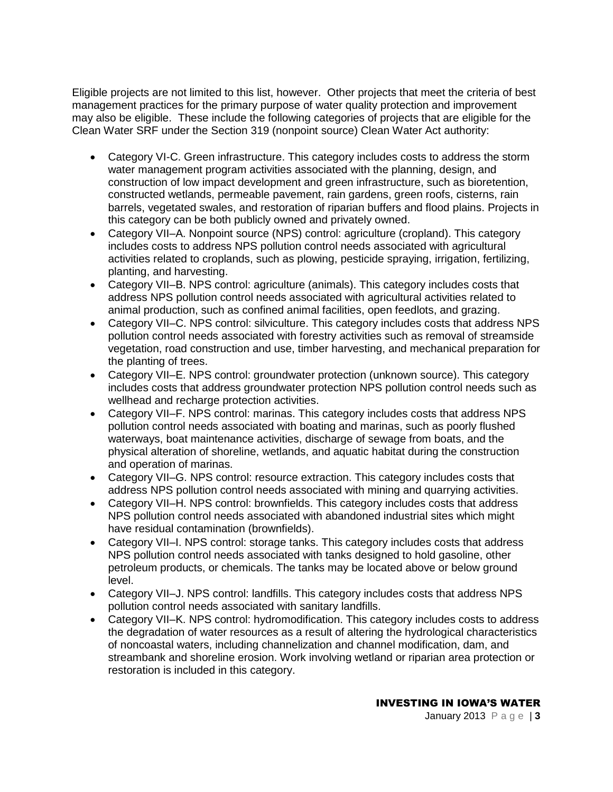Eligible projects are not limited to this list, however. Other projects that meet the criteria of best management practices for the primary purpose of water quality protection and improvement may also be eligible. These include the following categories of projects that are eligible for the Clean Water SRF under the Section 319 (nonpoint source) Clean Water Act authority:

- Category VI-C. Green infrastructure. This category includes costs to address the storm water management program activities associated with the planning, design, and construction of low impact development and green infrastructure, such as bioretention, constructed wetlands, permeable pavement, rain gardens, green roofs, cisterns, rain barrels, vegetated swales, and restoration of riparian buffers and flood plains. Projects in this category can be both publicly owned and privately owned.
- Category VII–A. Nonpoint source (NPS) control: agriculture (cropland). This category includes costs to address NPS pollution control needs associated with agricultural activities related to croplands, such as plowing, pesticide spraying, irrigation, fertilizing, planting, and harvesting.
- Category VII–B. NPS control: agriculture (animals). This category includes costs that address NPS pollution control needs associated with agricultural activities related to animal production, such as confined animal facilities, open feedlots, and grazing.
- Category VII–C. NPS control: silviculture. This category includes costs that address NPS pollution control needs associated with forestry activities such as removal of streamside vegetation, road construction and use, timber harvesting, and mechanical preparation for the planting of trees.
- Category VII–E. NPS control: groundwater protection (unknown source). This category includes costs that address groundwater protection NPS pollution control needs such as wellhead and recharge protection activities.
- Category VII–F. NPS control: marinas. This category includes costs that address NPS pollution control needs associated with boating and marinas, such as poorly flushed waterways, boat maintenance activities, discharge of sewage from boats, and the physical alteration of shoreline, wetlands, and aquatic habitat during the construction and operation of marinas.
- Category VII–G. NPS control: resource extraction. This category includes costs that address NPS pollution control needs associated with mining and quarrying activities.
- Category VII–H. NPS control: brownfields. This category includes costs that address NPS pollution control needs associated with abandoned industrial sites which might have residual contamination (brownfields).
- Category VII–I. NPS control: storage tanks. This category includes costs that address NPS pollution control needs associated with tanks designed to hold gasoline, other petroleum products, or chemicals. The tanks may be located above or below ground level.
- Category VII–J. NPS control: landfills. This category includes costs that address NPS pollution control needs associated with sanitary landfills.
- Category VII–K. NPS control: hydromodification. This category includes costs to address the degradation of water resources as a result of altering the hydrological characteristics of noncoastal waters, including channelization and channel modification, dam, and streambank and shoreline erosion. Work involving wetland or riparian area protection or restoration is included in this category.

### INVESTING IN IOWA'S WATER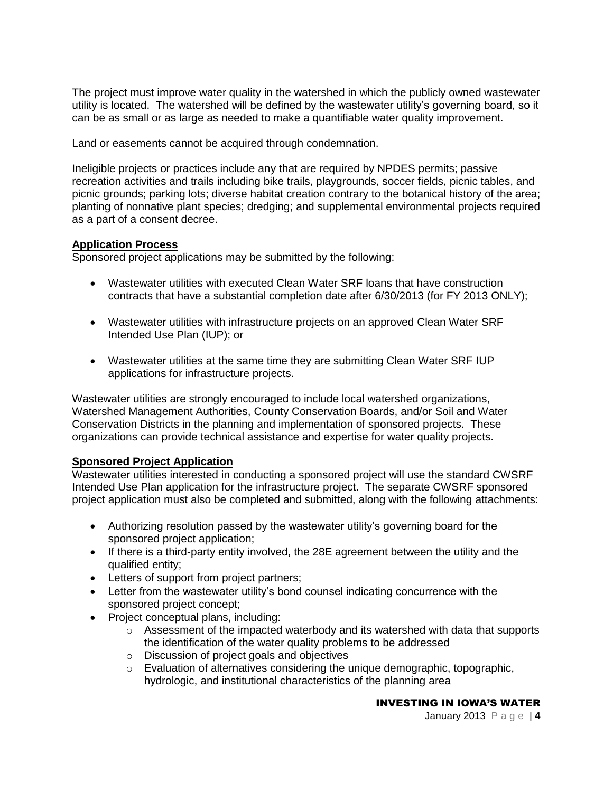The project must improve water quality in the watershed in which the publicly owned wastewater utility is located. The watershed will be defined by the wastewater utility's governing board, so it can be as small or as large as needed to make a quantifiable water quality improvement.

Land or easements cannot be acquired through condemnation.

Ineligible projects or practices include any that are required by NPDES permits; passive recreation activities and trails including bike trails, playgrounds, soccer fields, picnic tables, and picnic grounds; parking lots; diverse habitat creation contrary to the botanical history of the area; planting of nonnative plant species; dredging; and supplemental environmental projects required as a part of a consent decree.

# **Application Process**

Sponsored project applications may be submitted by the following:

- Wastewater utilities with executed Clean Water SRF loans that have construction contracts that have a substantial completion date after 6/30/2013 (for FY 2013 ONLY);
- Wastewater utilities with infrastructure projects on an approved Clean Water SRF Intended Use Plan (IUP); or
- Wastewater utilities at the same time they are submitting Clean Water SRF IUP applications for infrastructure projects.

Wastewater utilities are strongly encouraged to include local watershed organizations, Watershed Management Authorities, County Conservation Boards, and/or Soil and Water Conservation Districts in the planning and implementation of sponsored projects. These organizations can provide technical assistance and expertise for water quality projects.

# **Sponsored Project Application**

Wastewater utilities interested in conducting a sponsored project will use the standard CWSRF Intended Use Plan application for the infrastructure project. The separate CWSRF sponsored project application must also be completed and submitted, along with the following attachments:

- Authorizing resolution passed by the wastewater utility's governing board for the sponsored project application;
- If there is a third-party entity involved, the 28E agreement between the utility and the qualified entity;
- Letters of support from project partners;
- Letter from the wastewater utility's bond counsel indicating concurrence with the sponsored project concept;
- Project conceptual plans, including:
	- $\circ$  Assessment of the impacted waterbody and its watershed with data that supports the identification of the water quality problems to be addressed
	- o Discussion of project goals and objectives
	- $\circ$  Evaluation of alternatives considering the unique demographic, topographic, hydrologic, and institutional characteristics of the planning area

# INVESTING IN IOWA'S WATER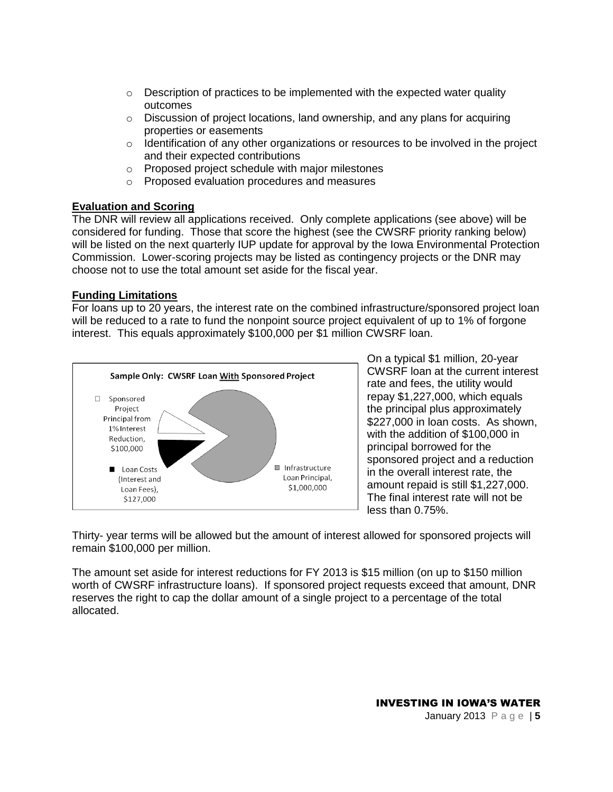- o Description of practices to be implemented with the expected water quality outcomes
- $\circ$  Discussion of project locations, land ownership, and any plans for acquiring properties or easements
- o Identification of any other organizations or resources to be involved in the project and their expected contributions
- o Proposed project schedule with major milestones
- o Proposed evaluation procedures and measures

#### **Evaluation and Scoring**

The DNR will review all applications received. Only complete applications (see above) will be considered for funding. Those that score the highest (see the CWSRF priority ranking below) will be listed on the next quarterly IUP update for approval by the Iowa Environmental Protection Commission. Lower-scoring projects may be listed as contingency projects or the DNR may choose not to use the total amount set aside for the fiscal year.

#### **Funding Limitations**

For loans up to 20 years, the interest rate on the combined infrastructure/sponsored project loan will be reduced to a rate to fund the nonpoint source project equivalent of up to 1% of forgone interest. This equals approximately \$100,000 per \$1 million CWSRF loan.



On a typical \$1 million, 20-year CWSRF loan at the current interest rate and fees, the utility would repay \$1,227,000, which equals the principal plus approximately \$227,000 in loan costs. As shown, with the addition of \$100,000 in principal borrowed for the sponsored project and a reduction in the overall interest rate, the amount repaid is still \$1,227,000. The final interest rate will not be less than 0.75%.

Thirty- year terms will be allowed but the amount of interest allowed for sponsored projects will remain \$100,000 per million.

The amount set aside for interest reductions for FY 2013 is \$15 million (on up to \$150 million worth of CWSRF infrastructure loans). If sponsored project requests exceed that amount, DNR reserves the right to cap the dollar amount of a single project to a percentage of the total allocated.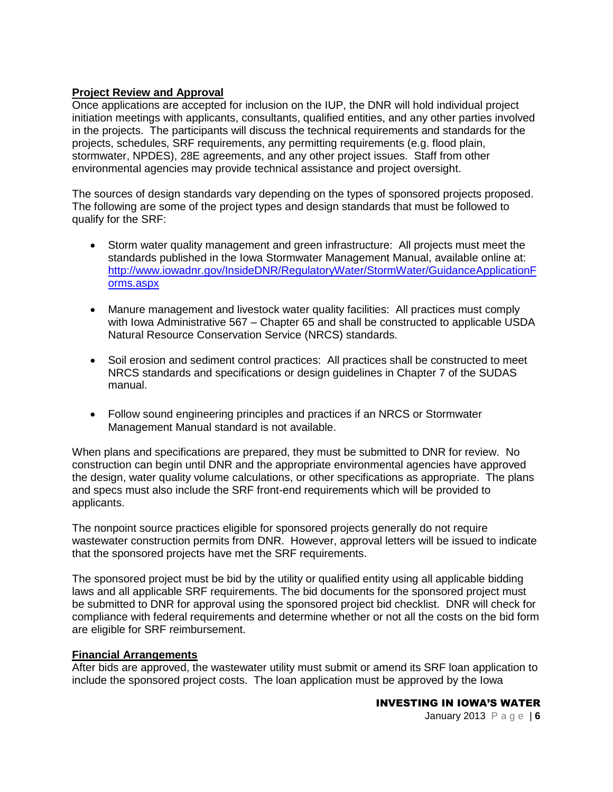# **Project Review and Approval**

Once applications are accepted for inclusion on the IUP, the DNR will hold individual project initiation meetings with applicants, consultants, qualified entities, and any other parties involved in the projects. The participants will discuss the technical requirements and standards for the projects, schedules, SRF requirements, any permitting requirements (e.g. flood plain, stormwater, NPDES), 28E agreements, and any other project issues. Staff from other environmental agencies may provide technical assistance and project oversight.

The sources of design standards vary depending on the types of sponsored projects proposed. The following are some of the project types and design standards that must be followed to qualify for the SRF:

- Storm water quality management and green infrastructure: All projects must meet the standards published in the Iowa Stormwater Management Manual, available online at: [http://www.iowadnr.gov/InsideDNR/RegulatoryWater/StormWater/GuidanceApplicationF](http://www.iowadnr.gov/InsideDNR/RegulatoryWater/StormWater/GuidanceApplicationForms.aspx) [orms.aspx](http://www.iowadnr.gov/InsideDNR/RegulatoryWater/StormWater/GuidanceApplicationForms.aspx)
- Manure management and livestock water quality facilities: All practices must comply with Iowa Administrative 567 – Chapter 65 and shall be constructed to applicable USDA Natural Resource Conservation Service (NRCS) standards.
- Soil erosion and sediment control practices: All practices shall be constructed to meet NRCS standards and specifications or design guidelines in Chapter 7 of the SUDAS manual.
- Follow sound engineering principles and practices if an NRCS or Stormwater Management Manual standard is not available.

When plans and specifications are prepared, they must be submitted to DNR for review. No construction can begin until DNR and the appropriate environmental agencies have approved the design, water quality volume calculations, or other specifications as appropriate. The plans and specs must also include the SRF front-end requirements which will be provided to applicants.

The nonpoint source practices eligible for sponsored projects generally do not require wastewater construction permits from DNR. However, approval letters will be issued to indicate that the sponsored projects have met the SRF requirements.

The sponsored project must be bid by the utility or qualified entity using all applicable bidding laws and all applicable SRF requirements. The bid documents for the sponsored project must be submitted to DNR for approval using the sponsored project bid checklist. DNR will check for compliance with federal requirements and determine whether or not all the costs on the bid form are eligible for SRF reimbursement.

# **Financial Arrangements**

After bids are approved, the wastewater utility must submit or amend its SRF loan application to include the sponsored project costs. The loan application must be approved by the Iowa

#### INVESTING IN IOWA'S WATER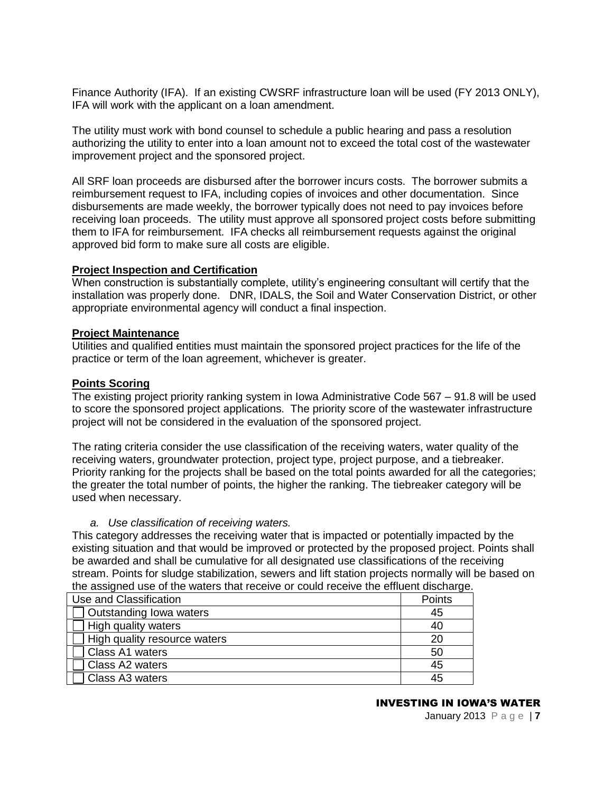Finance Authority (IFA). If an existing CWSRF infrastructure loan will be used (FY 2013 ONLY), IFA will work with the applicant on a loan amendment.

The utility must work with bond counsel to schedule a public hearing and pass a resolution authorizing the utility to enter into a loan amount not to exceed the total cost of the wastewater improvement project and the sponsored project.

All SRF loan proceeds are disbursed after the borrower incurs costs. The borrower submits a reimbursement request to IFA, including copies of invoices and other documentation. Since disbursements are made weekly, the borrower typically does not need to pay invoices before receiving loan proceeds. The utility must approve all sponsored project costs before submitting them to IFA for reimbursement. IFA checks all reimbursement requests against the original approved bid form to make sure all costs are eligible.

#### **Project Inspection and Certification**

When construction is substantially complete, utility's engineering consultant will certify that the installation was properly done. DNR, IDALS, the Soil and Water Conservation District, or other appropriate environmental agency will conduct a final inspection.

#### **Project Maintenance**

Utilities and qualified entities must maintain the sponsored project practices for the life of the practice or term of the loan agreement, whichever is greater.

#### **Points Scoring**

The existing project priority ranking system in Iowa Administrative Code 567 – 91.8 will be used to score the sponsored project applications. The priority score of the wastewater infrastructure project will not be considered in the evaluation of the sponsored project.

The rating criteria consider the use classification of the receiving waters, water quality of the receiving waters, groundwater protection, project type, project purpose, and a tiebreaker. Priority ranking for the projects shall be based on the total points awarded for all the categories; the greater the total number of points, the higher the ranking. The tiebreaker category will be used when necessary.

#### *a. Use classification of receiving waters.*

This category addresses the receiving water that is impacted or potentially impacted by the existing situation and that would be improved or protected by the proposed project. Points shall be awarded and shall be cumulative for all designated use classifications of the receiving stream. Points for sludge stabilization, sewers and lift station projects normally will be based on the assigned use of the waters that receive or could receive the effluent discharge.

| Use and Classification       | Points |
|------------------------------|--------|
| Outstanding lowa waters      | 45     |
| High quality waters          | 40     |
| High quality resource waters | 20     |
| Class A1 waters              | 50     |
| Class A2 waters              | 45     |
| Class A3 waters              | 45     |

#### INVESTING IN IOWA'S WATER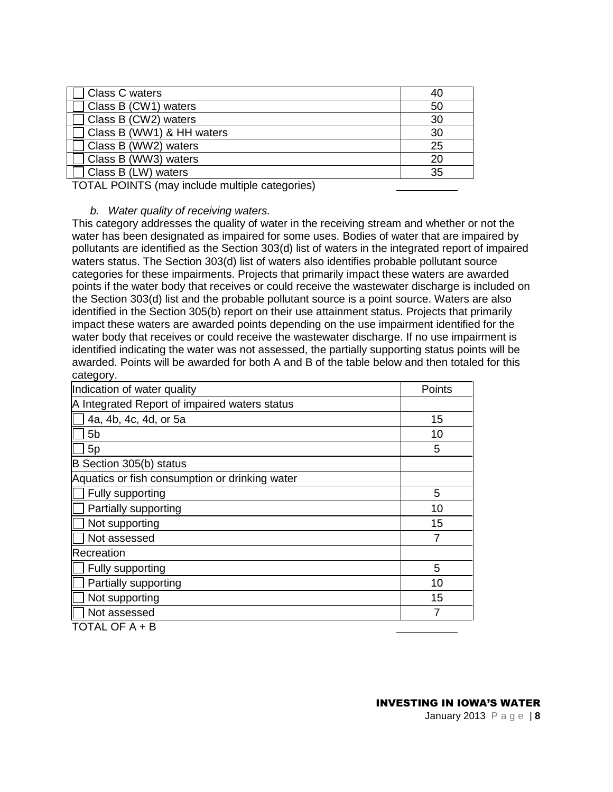| <b>Class C waters</b>       | 40 |
|-----------------------------|----|
| Class B (CW1) waters        | 50 |
| $\Box$ Class B (CW2) waters | 30 |
| Class B (WW1) & HH waters   | 30 |
| Class B (WW2) waters        | 25 |
| Class B (WW3) waters        | 20 |
| Class B (LW) waters         | 35 |
|                             |    |

TOTAL POINTS (may include multiple categories)

#### *b. Water quality of receiving waters.*

This category addresses the quality of water in the receiving stream and whether or not the water has been designated as impaired for some uses. Bodies of water that are impaired by pollutants are identified as the Section 303(d) list of waters in the integrated report of impaired waters status. The Section 303(d) list of waters also identifies probable pollutant source categories for these impairments. Projects that primarily impact these waters are awarded points if the water body that receives or could receive the wastewater discharge is included on the Section 303(d) list and the probable pollutant source is a point source. Waters are also identified in the Section 305(b) report on their use attainment status. Projects that primarily impact these waters are awarded points depending on the use impairment identified for the water body that receives or could receive the wastewater discharge. If no use impairment is identified indicating the water was not assessed, the partially supporting status points will be awarded. Points will be awarded for both A and B of the table below and then totaled for this category.

| Indication of water quality                    | Points |
|------------------------------------------------|--------|
| A Integrated Report of impaired waters status  |        |
| 4a, 4b, 4c, 4d, or 5a                          | 15     |
| 5b                                             | 10     |
| 5p                                             | 5      |
| B Section 305(b) status                        |        |
| Aquatics or fish consumption or drinking water |        |
| Fully supporting                               | 5      |
| Partially supporting                           | 10     |
| Not supporting                                 | 15     |
| Not assessed                                   | 7      |
| Recreation                                     |        |
| Fully supporting                               | 5      |
| Partially supporting                           | 10     |
| Not supporting                                 | 15     |
| Not assessed                                   | 7      |
| TOTAL OF A + B                                 |        |

INVESTING IN IOWA'S WATER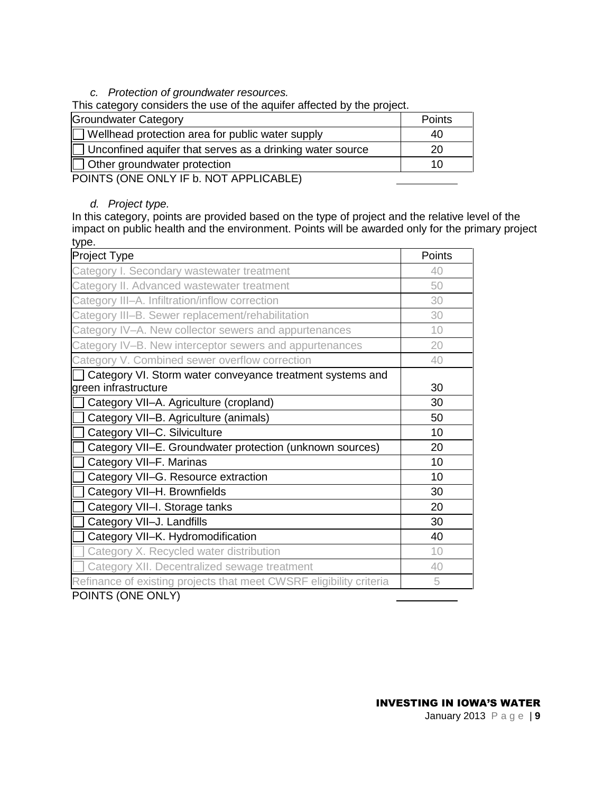#### *c. Protection of groundwater resources.*

This category considers the use of the aquifer affected by the project.

| Groundwater Category                                      | <b>Points</b> |
|-----------------------------------------------------------|---------------|
| $\Box$ Wellhead protection area for public water supply   | 40            |
| Unconfined aquifer that serves as a drinking water source | 20            |
| $\Box$ Other groundwater protection                       |               |
| DOILITO (ONE ONLY IF L. NOT ADDI IOADI F)                 |               |

POINTS (ONE ONLY IF b. NOT APPLICABLE)

#### *d. Project type.*

In this category, points are provided based on the type of project and the relative level of the impact on public health and the environment. Points will be awarded only for the primary project type.

| Project Type                                                        | Points |
|---------------------------------------------------------------------|--------|
| Category I. Secondary wastewater treatment                          | 40     |
| Category II. Advanced wastewater treatment                          | 50     |
| Category III-A. Infiltration/inflow correction                      | 30     |
| Category III-B. Sewer replacement/rehabilitation                    | 30     |
| Category IV-A. New collector sewers and appurtenances               | 10     |
| Category IV-B. New interceptor sewers and appurtenances             | 20     |
| Category V. Combined sewer overflow correction                      | 40     |
| □ Category VI. Storm water conveyance treatment systems and         |        |
| green infrastructure                                                | 30     |
| Category VII-A. Agriculture (cropland)                              | 30     |
| Category VII-B. Agriculture (animals)                               | 50     |
| Category VII-C. Silviculture                                        | 10     |
| Category VII-E. Groundwater protection (unknown sources)            | 20     |
| Category VII-F. Marinas                                             | 10     |
| Category VII-G. Resource extraction                                 | 10     |
| Category VII-H. Brownfields                                         | 30     |
| Category VII-I. Storage tanks                                       | 20     |
| Category VII-J. Landfills                                           | 30     |
| Category VII-K. Hydromodification                                   | 40     |
| Category X. Recycled water distribution                             | 10     |
| Category XII. Decentralized sewage treatment                        | 40     |
| Refinance of existing projects that meet CWSRF eligibility criteria | 5      |

POINTS (ONE ONLY)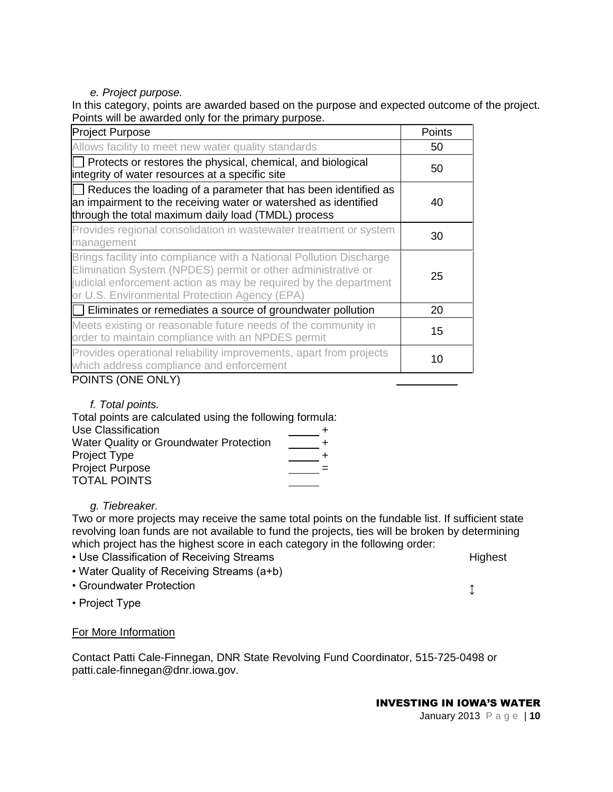# *e. Project purpose.*

In this category, points are awarded based on the purpose and expected outcome of the project. Points will be awarded only for the primary purpose.

| <b>Project Purpose</b>                                                                                                                                                                                                                                   | Points |
|----------------------------------------------------------------------------------------------------------------------------------------------------------------------------------------------------------------------------------------------------------|--------|
| Allows facility to meet new water quality standards                                                                                                                                                                                                      | 50     |
| $\Box$ Protects or restores the physical, chemical, and biological<br>integrity of water resources at a specific site                                                                                                                                    | 50     |
| $\Box$ Reduces the loading of a parameter that has been identified as<br>an impairment to the receiving water or watershed as identified<br>through the total maximum daily load (TMDL) process                                                          | 40     |
| Provides regional consolidation in wastewater treatment or system<br>management                                                                                                                                                                          | 30     |
| Brings facility into compliance with a National Pollution Discharge<br>Elimination System (NPDES) permit or other administrative or<br>judicial enforcement action as may be required by the department<br>or U.S. Environmental Protection Agency (EPA) | 25     |
| $\Box$ Eliminates or remediates a source of groundwater pollution                                                                                                                                                                                        | 20     |
| Meets existing or reasonable future needs of the community in<br>order to maintain compliance with an NPDES permit                                                                                                                                       | 15     |
| Provides operational reliability improvements, apart from projects<br>which address compliance and enforcement                                                                                                                                           | 10     |

# POINTS (ONE ONLY)

# *f. Total points.*

| Total points are calculated using the following formula: |
|----------------------------------------------------------|
|                                                          |
|                                                          |
|                                                          |
|                                                          |
|                                                          |
|                                                          |

# *g. Tiebreaker.*

Two or more projects may receive the same total points on the fundable list. If sufficient state revolving loan funds are not available to fund the projects, ties will be broken by determining which project has the highest score in each category in the following order:

- Use Classification of Receiving Streams **Highest** Highest
- Water Quality of Receiving Streams (a+b)
- Groundwater Protection
- Project Type

# For More Information

Contact Patti Cale-Finnegan, DNR State Revolving Fund Coordinator, 515-725-0498 or patti.cale-finnegan@dnr.iowa.gov.

#### INVESTING IN IOWA'S WATER

January 2013 P a g e | **10**

↕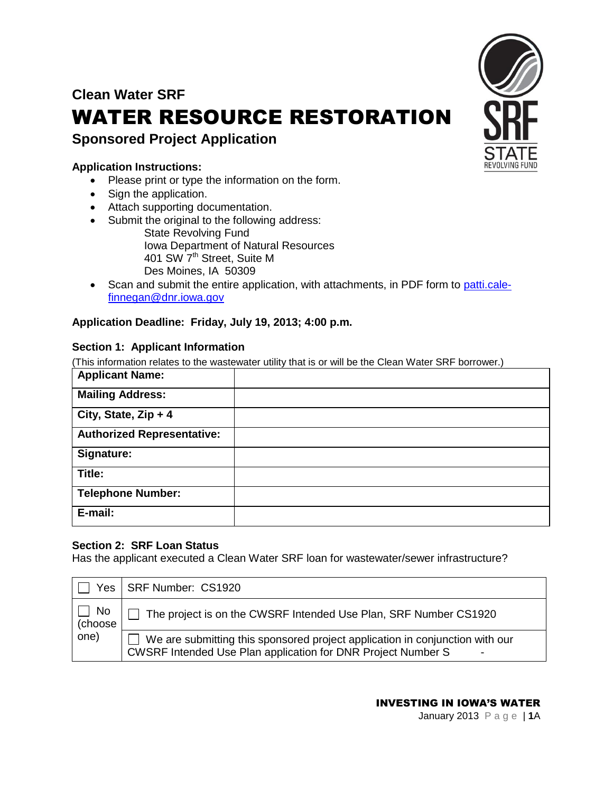# **Clean Water SRF** WATER RESOURCE RESTORATION **Sponsored Project Application**

# **Application Instructions:**

- Please print or type the information on the form.
- Sign the application.
- Attach supporting documentation.
- Submit the original to the following address: State Revolving Fund Iowa Department of Natural Resources 401 SW 7<sup>th</sup> Street, Suite M Des Moines, IA 50309
- Scan and submit the entire application, with attachments, in PDF form to [patti.cale](mailto:patti.cale-finnegan@dnr.iowa.gov)[finnegan@dnr.iowa.gov](mailto:patti.cale-finnegan@dnr.iowa.gov)

# **Application Deadline: Friday, July 19, 2013; 4:00 p.m.**

### **Section 1: Applicant Information**

(This information relates to the wastewater utility that is or will be the Clean Water SRF borrower.)

| <b>Applicant Name:</b>            |  |
|-----------------------------------|--|
| <b>Mailing Address:</b>           |  |
| City, State, Zip + 4              |  |
| <b>Authorized Representative:</b> |  |
| Signature:                        |  |
| Title:                            |  |
| <b>Telephone Number:</b>          |  |
| E-mail:                           |  |

### **Section 2: SRF Loan Status**

Has the applicant executed a Clean Water SRF loan for wastewater/sewer infrastructure?

|               | Yes   SRF Number: CS1920                                                                                                                     |
|---------------|----------------------------------------------------------------------------------------------------------------------------------------------|
| No<br>(choose | The project is on the CWSRF Intended Use Plan, SRF Number CS1920                                                                             |
| one)          | We are submitting this sponsored project application in conjunction with our<br>CWSRF Intended Use Plan application for DNR Project Number S |

#### INVESTING IN IOWA'S WATER

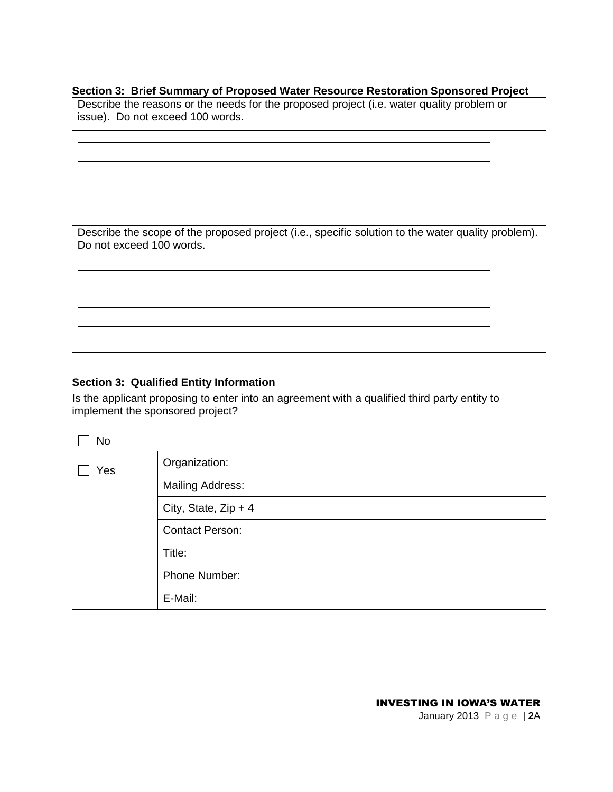### **Section 3: Brief Summary of Proposed Water Resource Restoration Sponsored Project**

| Describe the reasons or the needs for the proposed project (i.e. water quality problem or<br>issue). Do not exceed 100 words. |  |
|-------------------------------------------------------------------------------------------------------------------------------|--|
|                                                                                                                               |  |
|                                                                                                                               |  |
| Describe the scope of the proposed project (i.e., specific solution to the water quality problem).                            |  |
| Do not exceed 100 words.                                                                                                      |  |
|                                                                                                                               |  |
|                                                                                                                               |  |
|                                                                                                                               |  |

# **Section 3: Qualified Entity Information**

Is the applicant proposing to enter into an agreement with a qualified third party entity to implement the sponsored project?

| <b>No</b> |                         |  |
|-----------|-------------------------|--|
| Yes       | Organization:           |  |
|           | <b>Mailing Address:</b> |  |
|           | City, State, Zip + 4    |  |
|           | <b>Contact Person:</b>  |  |
|           | Title:                  |  |
|           | Phone Number:           |  |
|           | E-Mail:                 |  |

# INVESTING IN IOWA'S WATER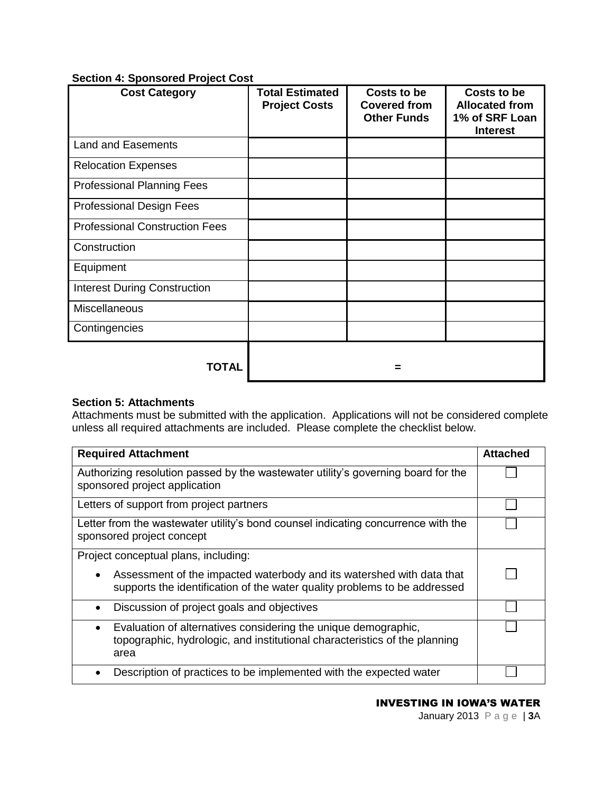# **Section 4: Sponsored Project Cost**

| <b>Cost Category</b>                  | <b>Total Estimated</b><br><b>Project Costs</b> | Costs to be<br><b>Covered from</b><br><b>Other Funds</b> | Costs to be<br><b>Allocated from</b><br>1% of SRF Loan<br><b>Interest</b> |
|---------------------------------------|------------------------------------------------|----------------------------------------------------------|---------------------------------------------------------------------------|
| <b>Land and Easements</b>             |                                                |                                                          |                                                                           |
| <b>Relocation Expenses</b>            |                                                |                                                          |                                                                           |
| <b>Professional Planning Fees</b>     |                                                |                                                          |                                                                           |
| <b>Professional Design Fees</b>       |                                                |                                                          |                                                                           |
| <b>Professional Construction Fees</b> |                                                |                                                          |                                                                           |
| Construction                          |                                                |                                                          |                                                                           |
| Equipment                             |                                                |                                                          |                                                                           |
| <b>Interest During Construction</b>   |                                                |                                                          |                                                                           |
| Miscellaneous                         |                                                |                                                          |                                                                           |
| Contingencies                         |                                                |                                                          |                                                                           |
| TOTAL                                 |                                                | =                                                        |                                                                           |

### **Section 5: Attachments**

Attachments must be submitted with the application. Applications will not be considered complete unless all required attachments are included. Please complete the checklist below.

| <b>Required Attachment</b>                                                                                                                                        | <b>Attached</b> |
|-------------------------------------------------------------------------------------------------------------------------------------------------------------------|-----------------|
| Authorizing resolution passed by the wastewater utility's governing board for the<br>sponsored project application                                                |                 |
| Letters of support from project partners                                                                                                                          |                 |
| Letter from the wastewater utility's bond counsel indicating concurrence with the<br>sponsored project concept                                                    |                 |
| Project conceptual plans, including:                                                                                                                              |                 |
| Assessment of the impacted waterbody and its watershed with data that<br>supports the identification of the water quality problems to be addressed                |                 |
| Discussion of project goals and objectives<br>$\bullet$                                                                                                           |                 |
| Evaluation of alternatives considering the unique demographic,<br>$\bullet$<br>topographic, hydrologic, and institutional characteristics of the planning<br>area |                 |
| Description of practices to be implemented with the expected water                                                                                                |                 |

### INVESTING IN IOWA'S WATER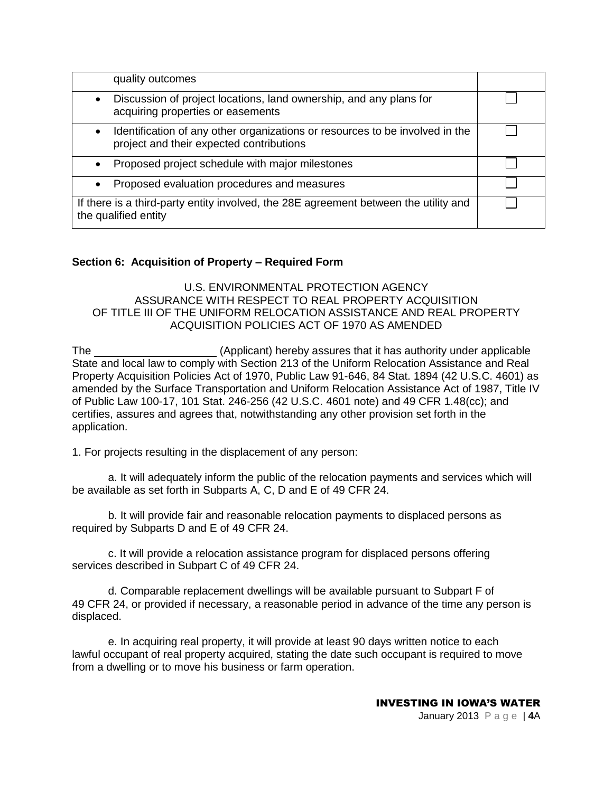| quality outcomes                                                                                                                      |  |
|---------------------------------------------------------------------------------------------------------------------------------------|--|
| Discussion of project locations, land ownership, and any plans for<br>acquiring properties or easements                               |  |
| Identification of any other organizations or resources to be involved in the<br>$\bullet$<br>project and their expected contributions |  |
| Proposed project schedule with major milestones<br>$\bullet$                                                                          |  |
| Proposed evaluation procedures and measures<br>$\bullet$                                                                              |  |
| If there is a third-party entity involved, the 28E agreement between the utility and<br>the qualified entity                          |  |

# **Section 6: Acquisition of Property – Required Form**

#### U.S. ENVIRONMENTAL PROTECTION AGENCY ASSURANCE WITH RESPECT TO REAL PROPERTY ACQUISITION OF TITLE III OF THE UNIFORM RELOCATION ASSISTANCE AND REAL PROPERTY ACQUISITION POLICIES ACT OF 1970 AS AMENDED

The (Applicant) hereby assures that it has authority under applicable State and local law to comply with Section 213 of the Uniform Relocation Assistance and Real Property Acquisition Policies Act of 1970, Public Law 91-646, 84 Stat. 1894 (42 U.S.C. 4601) as amended by the Surface Transportation and Uniform Relocation Assistance Act of 1987, Title IV of Public Law 100-17, 101 Stat. 246-256 (42 U.S.C. 4601 note) and 49 CFR 1.48(cc); and certifies, assures and agrees that, notwithstanding any other provision set forth in the application.

1. For projects resulting in the displacement of any person:

a. It will adequately inform the public of the relocation payments and services which will be available as set forth in Subparts A, C, D and E of 49 CFR 24.

b. It will provide fair and reasonable relocation payments to displaced persons as required by Subparts D and E of 49 CFR 24.

c. It will provide a relocation assistance program for displaced persons offering services described in Subpart C of 49 CFR 24.

d. Comparable replacement dwellings will be available pursuant to Subpart F of 49 CFR 24, or provided if necessary, a reasonable period in advance of the time any person is displaced.

e. In acquiring real property, it will provide at least 90 days written notice to each lawful occupant of real property acquired, stating the date such occupant is required to move from a dwelling or to move his business or farm operation.

# INVESTING IN IOWA'S WATER